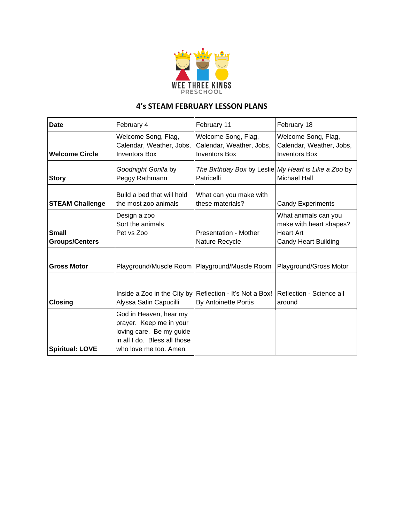

## **4's STEAM FEBRUARY LESSON PLANS**

| <b>Date</b>                           | February 4                                                                                                                              | February 11                                                                      | February 18                                                                                 |
|---------------------------------------|-----------------------------------------------------------------------------------------------------------------------------------------|----------------------------------------------------------------------------------|---------------------------------------------------------------------------------------------|
| <b>Welcome Circle</b>                 | Welcome Song, Flag,<br>Calendar, Weather, Jobs,<br><b>Inventors Box</b>                                                                 | Welcome Song, Flag,<br>Calendar, Weather, Jobs,<br><b>Inventors Box</b>          | Welcome Song, Flag,<br>Calendar, Weather, Jobs,<br><b>Inventors Box</b>                     |
| <b>Story</b>                          | Goodnight Gorilla by<br>Peggy Rathmann                                                                                                  | The Birthday Box by Leslie My Heart is Like a Zoo by<br>Patricelli               | <b>Michael Hall</b>                                                                         |
| <b>STEAM Challenge</b>                | Build a bed that will hold<br>the most zoo animals                                                                                      | What can you make with<br>these materials?                                       | <b>Candy Experiments</b>                                                                    |
| <b>Small</b><br><b>Groups/Centers</b> | Design a zoo<br>Sort the animals<br>Pet vs Zoo                                                                                          | Presentation - Mother<br>Nature Recycle                                          | What animals can you<br>make with heart shapes?<br><b>Heart Art</b><br>Candy Heart Building |
| <b>Gross Motor</b>                    | Playground/Muscle Room   Playground/Muscle Room                                                                                         |                                                                                  | Playground/Gross Motor                                                                      |
| <b>Closing</b>                        | Alyssa Satin Capucilli                                                                                                                  | Inside a Zoo in the City by Reflection - It's Not a Box!<br>By Antoinette Portis | Reflection - Science all<br>around                                                          |
| <b>Spiritual: LOVE</b>                | God in Heaven, hear my<br>prayer. Keep me in your<br>loving care. Be my guide<br>in all I do. Bless all those<br>who love me too. Amen. |                                                                                  |                                                                                             |